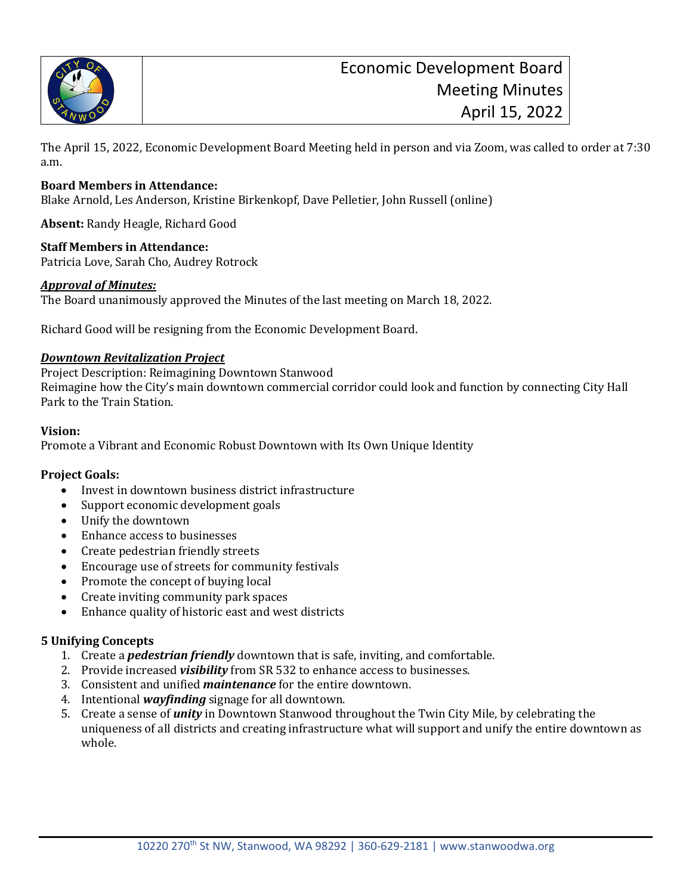

The April 15, 2022, Economic Development Board Meeting held in person and via Zoom, was called to order at 7:30 a.m.

#### **Board Members in Attendance:**

Blake Arnold, Les Anderson, Kristine Birkenkopf, Dave Pelletier, John Russell (online)

**Absent:** Randy Heagle, Richard Good

**Staff Members in Attendance:** Patricia Love, Sarah Cho, Audrey Rotrock

#### *Approval of Minutes:*

The Board unanimously approved the Minutes of the last meeting on March 18, 2022.

Richard Good will be resigning from the Economic Development Board.

#### *Downtown Revitalization Project*

Project Description: Reimagining Downtown Stanwood Reimagine how the City's main downtown commercial corridor could look and function by connecting City Hall Park to the Train Station.

#### **Vision:**

Promote a Vibrant and Economic Robust Downtown with Its Own Unique Identity

#### **Project Goals:**

- Invest in downtown business district infrastructure
- Support economic development goals
- Unify the downtown
- Enhance access to businesses
- Create pedestrian friendly streets
- Encourage use of streets for community festivals
- Promote the concept of buying local
- Create inviting community park spaces
- Enhance quality of historic east and west districts

#### **5 Unifying Concepts**

- 1. Create a *pedestrian friendly* downtown that is safe, inviting, and comfortable.
- 2. Provide increased *visibility* from SR 532 to enhance access to businesses.
- 3. Consistent and unified *maintenance* for the entire downtown.
- 4. Intentional *wayfinding* signage for all downtown.
- 5. Create a sense of *unity* in Downtown Stanwood throughout the Twin City Mile, by celebrating the uniqueness of all districts and creating infrastructure what will support and unify the entire downtown as whole.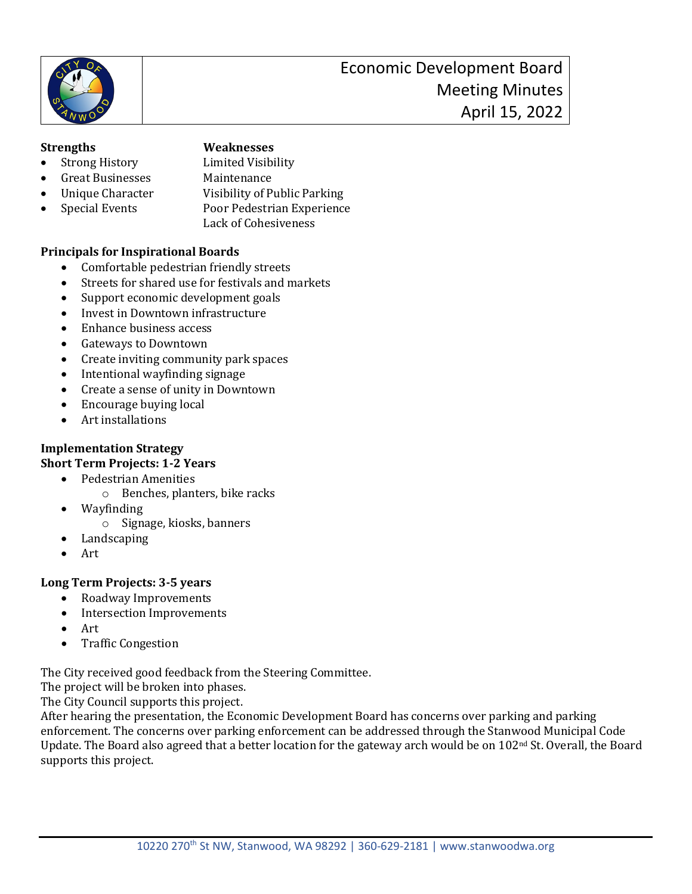

# **Strengths Weaknesses**

- Strong History Limited Visibility<br>• Great Businesses Maintenance
	-
- Great Businesses<br>Unique Character
	- Unique Character Visibility of Public Parking<br>
	Special Events Poor Pedestrian Experience
- Special Events Poor Pedestrian Experience
	- Lack of Cohesiveness

# **Principals for Inspirational Boards**

- Comfortable pedestrian friendly streets
- Streets for shared use for festivals and markets
- Support economic development goals
- Invest in Downtown infrastructure
- Enhance business access
- Gateways to Downtown
- Create inviting community park spaces
- Intentional wayfinding signage
- Create a sense of unity in Downtown
- Encourage buying local
- Art installations

# **Implementation Strategy**

# **Short Term Projects: 1-2 Years**

- Pedestrian Amenities
	- o Benches, planters, bike racks
- Wayfinding
	- o Signage, kiosks, banners
- **Landscaping**
- Art

# **Long Term Projects: 3-5 years**

- Roadway Improvements
- Intersection Improvements
- Art
- Traffic Congestion

The City received good feedback from the Steering Committee.

The project will be broken into phases.

The City Council supports this project.

After hearing the presentation, the Economic Development Board has concerns over parking and parking enforcement. The concerns over parking enforcement can be addressed through the Stanwood Municipal Code Update. The Board also agreed that a better location for the gateway arch would be on 102nd St. Overall, the Board supports this project.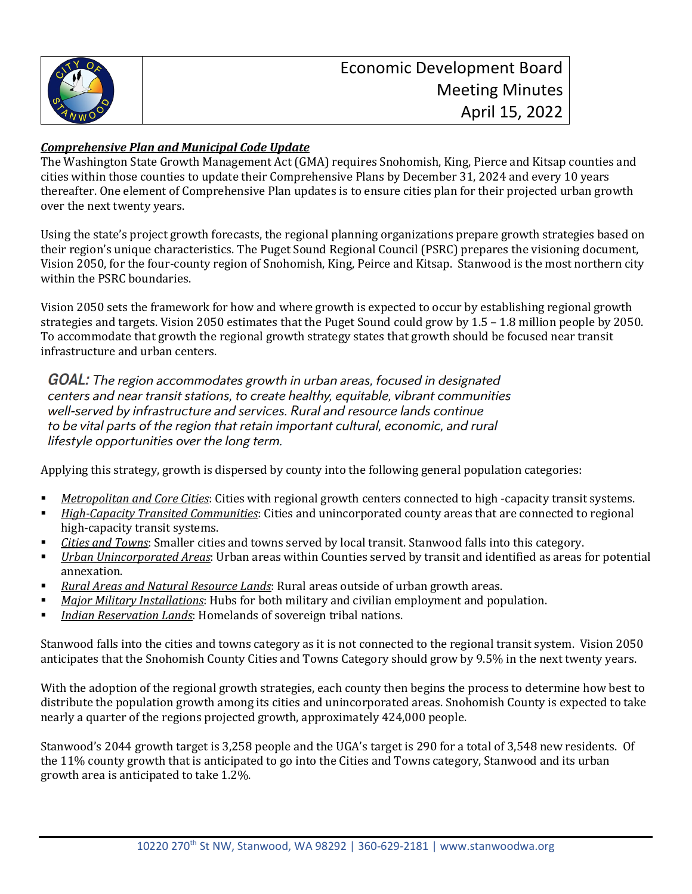

# *Comprehensive Plan and Municipal Code Update*

The Washington State Growth Management Act (GMA) requires Snohomish, King, Pierce and Kitsap counties and cities within those counties to update their Comprehensive Plans by December 31, 2024 and every 10 years thereafter. One element of Comprehensive Plan updates is to ensure cities plan for their projected urban growth over the next twenty years.

Using the state's project growth forecasts, the regional planning organizations prepare growth strategies based on their region's unique characteristics. The Puget Sound Regional Council (PSRC) prepares the visioning document, Vision 2050, for the four-county region of Snohomish, King, Peirce and Kitsap. Stanwood is the most northern city within the PSRC boundaries.

Vision 2050 sets the framework for how and where growth is expected to occur by establishing regional growth strategies and targets. Vision 2050 estimates that the Puget Sound could grow by 1.5 – 1.8 million people by 2050. To accommodate that growth the regional growth strategy states that growth should be focused near transit infrastructure and urban centers.

**GOAL:** The region accommodates growth in urban areas, focused in designated centers and near transit stations, to create healthy, equitable, vibrant communities well-served by infrastructure and services. Rural and resource lands continue to be vital parts of the region that retain important cultural, economic, and rural lifestyle opportunities over the long term.

Applying this strategy, growth is dispersed by county into the following general population categories:

- *Metropolitan and Core Cities*: Cities with regional growth centers connected to high -capacity transit systems.<br>*High-Capacity Transited Communities*: Cities and unincorporated county areas that are connected to regional
- *High-Capacity Transited Communities*: Cities and unincorporated county areas that are connected to regional high-capacity transit systems.
- *Cities and Towns*: Smaller cities and towns served by local transit. Stanwood falls into this category.<br>■ *Urban Unincorporated Areas:* Urban areas within Counties served by transit and identified as areas t
- *Urban Unincorporated Areas*: Urban areas within Counties served by transit and identified as areas for potential annexation.
- *Rural Areas and Natural Resource Lands*: Rural areas outside of urban growth areas.
- **Major Military Installations:** Hubs for both military and civilian employment and population.<br>Indian Reservation Lands: Homelands of sovereign tribal nations
- *Indian Reservation Lands*: Homelands of sovereign tribal nations.

Stanwood falls into the cities and towns category as it is not connected to the regional transit system. Vision 2050 anticipates that the Snohomish County Cities and Towns Category should grow by 9.5% in the next twenty years.

With the adoption of the regional growth strategies, each county then begins the process to determine how best to distribute the population growth among its cities and unincorporated areas. Snohomish County is expected to take nearly a quarter of the regions projected growth, approximately 424,000 people.

Stanwood's 2044 growth target is 3,258 people and the UGA's target is 290 for a total of 3,548 new residents. Of the 11% county growth that is anticipated to go into the Cities and Towns category, Stanwood and its urban growth area is anticipated to take 1.2%.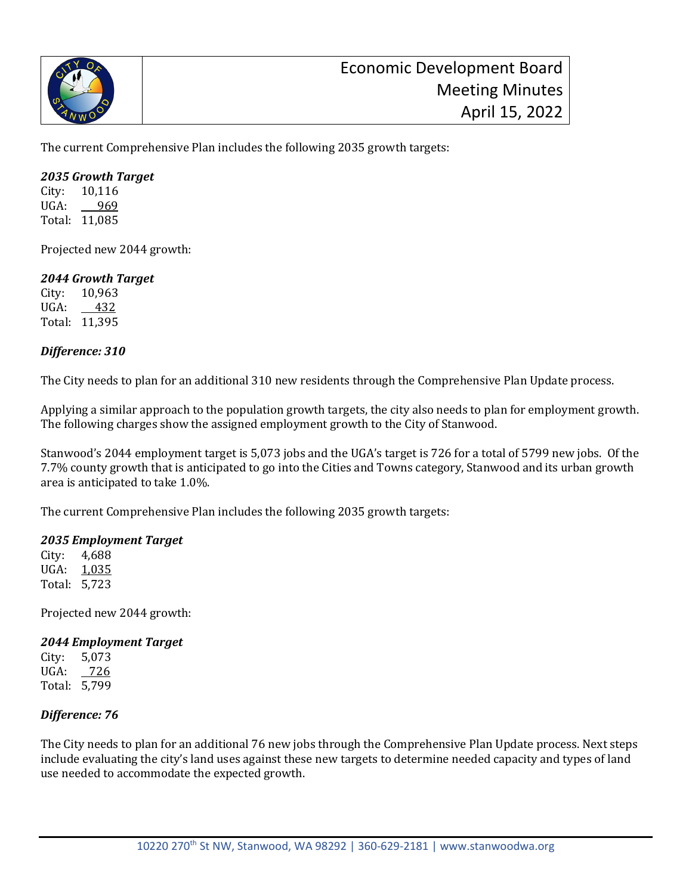

The current Comprehensive Plan includes the following 2035 growth targets:

#### *2035 Growth Target*

City: 10,116<br>UGA: 969  $UGA$ : Total: 11,085

Projected new 2044 growth:

## *2044 Growth Target*

City: 10,963<br>UGA: 432  $UGA$ : Total: 11,395

## *Difference: 310*

The City needs to plan for an additional 310 new residents through the Comprehensive Plan Update process.

Applying a similar approach to the population growth targets, the city also needs to plan for employment growth. The following charges show the assigned employment growth to the City of Stanwood.

Stanwood's 2044 employment target is 5,073 jobs and the UGA's target is 726 for a total of 5799 new jobs. Of the 7.7% county growth that is anticipated to go into the Cities and Towns category, Stanwood and its urban growth area is anticipated to take 1.0%.

The current Comprehensive Plan includes the following 2035 growth targets:

## *2035 Employment Target*

City: 4,688<br>UGA: 1.035 1,035 Total: 5,723

Projected new 2044 growth:

#### *2044 Employment Target*

City: 5,073 UGA: 726 Total: 5,799

## *Difference: 76*

The City needs to plan for an additional 76 new jobs through the Comprehensive Plan Update process. Next steps include evaluating the city's land uses against these new targets to determine needed capacity and types of land use needed to accommodate the expected growth.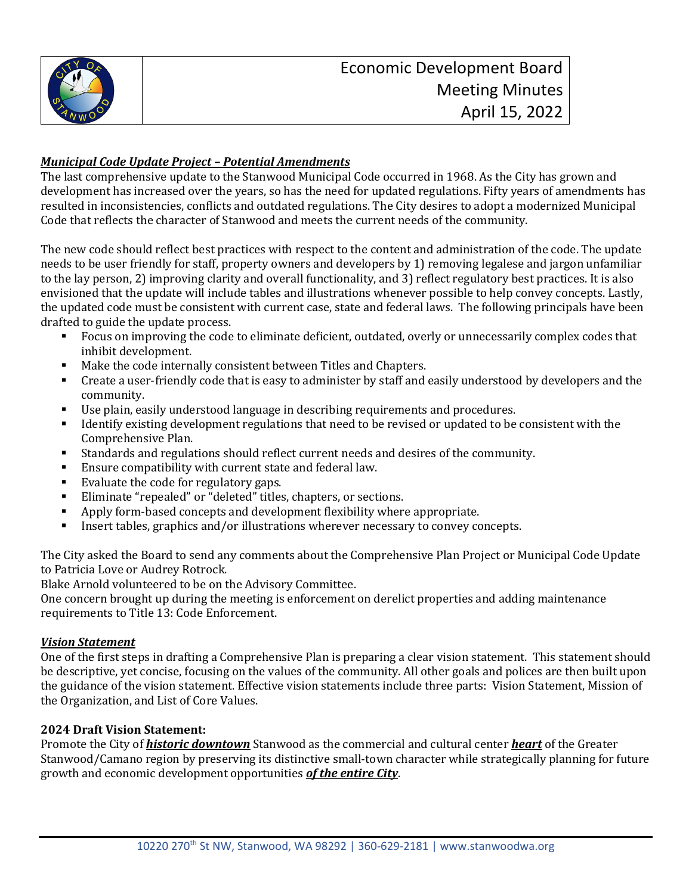

# *Municipal Code Update Project – Potential Amendments*

The last comprehensive update to the Stanwood Municipal Code occurred in 1968. As the City has grown and development has increased over the years, so has the need for updated regulations. Fifty years of amendments has resulted in inconsistencies, conflicts and outdated regulations. The City desires to adopt a modernized Municipal Code that reflects the character of Stanwood and meets the current needs of the community.

The new code should reflect best practices with respect to the content and administration of the code. The update needs to be user friendly for staff, property owners and developers by 1) removing legalese and jargon unfamiliar to the lay person, 2) improving clarity and overall functionality, and 3) reflect regulatory best practices. It is also envisioned that the update will include tables and illustrations whenever possible to help convey concepts. Lastly, the updated code must be consistent with current case, state and federal laws. The following principals have been drafted to guide the update process.<br>Focus on improving the code

- Focus on improving the code to eliminate deficient, outdated, overly or unnecessarily complex codes that inhibit development.
- Make the code internally consistent between Titles and Chapters.<br>• Create a user-friendly code that is easy to administer by staff and
- Create a user-friendly code that is easy to administer by staff and easily understood by developers and the community.
- Use plain, easily understood language in describing requirements and procedures.<br>■ Identify existing development requistions that need to be revised or undated to be
- Identify existing development regulations that need to be revised or updated to be consistent with the Comprehensive Plan.
- Standards and regulations should reflect current needs and desires of the community.<br>Fisure compatibility with current state and federal law
- Ensure compatibility with current state and federal law.
- Evaluate the code for regulatory gaps.<br>■ Fliminate "repealed" or "deleted" titles
- Eliminate "repealed" or "deleted" titles, chapters, or sections.<br>■ Apply form-based concents and development flexibility where
- Apply form-based concepts and development flexibility where appropriate.<br>• Insert tables, graphics and/or illustrations wherever necessary to convey compared
- Insert tables, graphics and/or illustrations wherever necessary to convey concepts.

The City asked the Board to send any comments about the Comprehensive Plan Project or Municipal Code Update to Patricia Love or Audrey Rotrock.

Blake Arnold volunteered to be on the Advisory Committee.

One concern brought up during the meeting is enforcement on derelict properties and adding maintenance requirements to Title 13: Code Enforcement.

## *Vision Statement*

One of the first steps in drafting a Comprehensive Plan is preparing a clear vision statement. This statement should be descriptive, yet concise, focusing on the values of the community. All other goals and polices are then built upon the guidance of the vision statement. Effective vision statements include three parts: Vision Statement, Mission of the Organization, and List of Core Values.

## **2024 Draft Vision Statement:**

Promote the City of *historic downtown* Stanwood as the commercial and cultural center *heart* of the Greater Stanwood/Camano region by preserving its distinctive small-town character while strategically planning for future growth and economic development opportunities *of the entire City*.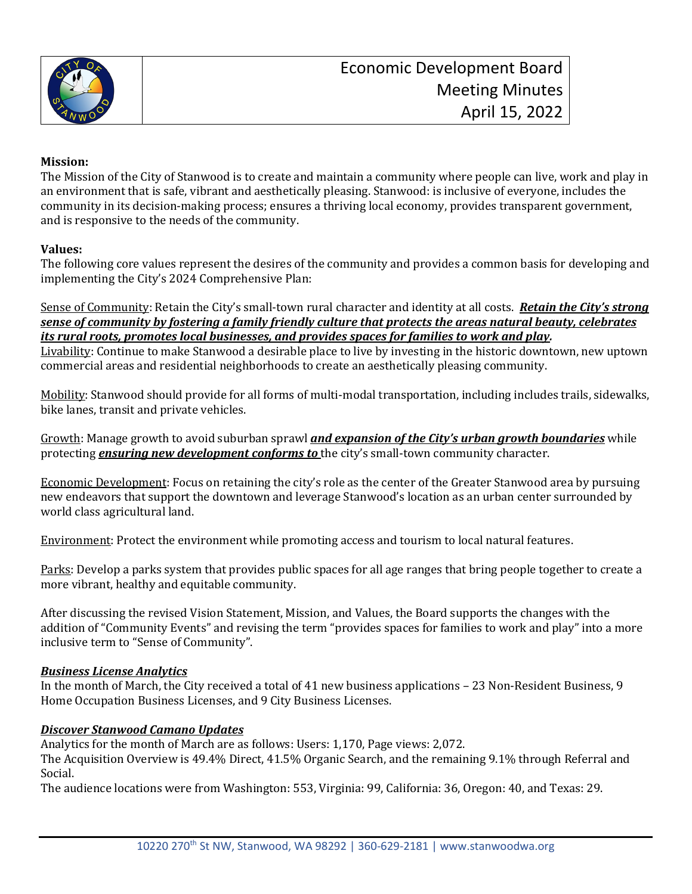

## **Mission:**

The Mission of the City of Stanwood is to create and maintain a community where people can live, work and play in an environment that is safe, vibrant and aesthetically pleasing. Stanwood: is inclusive of everyone, includes the community in its decision-making process; ensures a thriving local economy, provides transparent government, and is responsive to the needs of the community.

## **Values:**

The following core values represent the desires of the community and provides a common basis for developing and implementing the City's 2024 Comprehensive Plan:

Sense of Community: Retain the City's small-town rural character and identity at all costs. *Retain the City's strong sense of community by fostering a family friendly culture that protects the areas natural beauty, celebrates its rural roots, promotes local businesses, and provides spaces for families to work and play.*

Livability: Continue to make Stanwood a desirable place to live by investing in the historic downtown, new uptown commercial areas and residential neighborhoods to create an aesthetically pleasing community.

Mobility: Stanwood should provide for all forms of multi-modal transportation, including includes trails, sidewalks, bike lanes, transit and private vehicles.

Growth: Manage growth to avoid suburban sprawl *and expansion of the City's urban growth boundaries* while protecting *ensuring new development conforms to* the city's small-town community character.

Economic Development: Focus on retaining the city's role as the center of the Greater Stanwood area by pursuing new endeavors that support the downtown and leverage Stanwood's location as an urban center surrounded by world class agricultural land.

Environment: Protect the environment while promoting access and tourism to local natural features.

Parks: Develop a parks system that provides public spaces for all age ranges that bring people together to create a more vibrant, healthy and equitable community.

After discussing the revised Vision Statement, Mission, and Values, the Board supports the changes with the addition of "Community Events" and revising the term "provides spaces for families to work and play" into a more inclusive term to "Sense of Community".

## *Business License Analytics*

In the month of March, the City received a total of 41 new business applications – 23 Non-Resident Business, 9 Home Occupation Business Licenses, and 9 City Business Licenses.

#### *Discover Stanwood Camano Updates*

Analytics for the month of March are as follows: Users: 1,170, Page views: 2,072.

The Acquisition Overview is 49.4% Direct, 41.5% Organic Search, and the remaining 9.1% through Referral and Social.

The audience locations were from Washington: 553, Virginia: 99, California: 36, Oregon: 40, and Texas: 29.